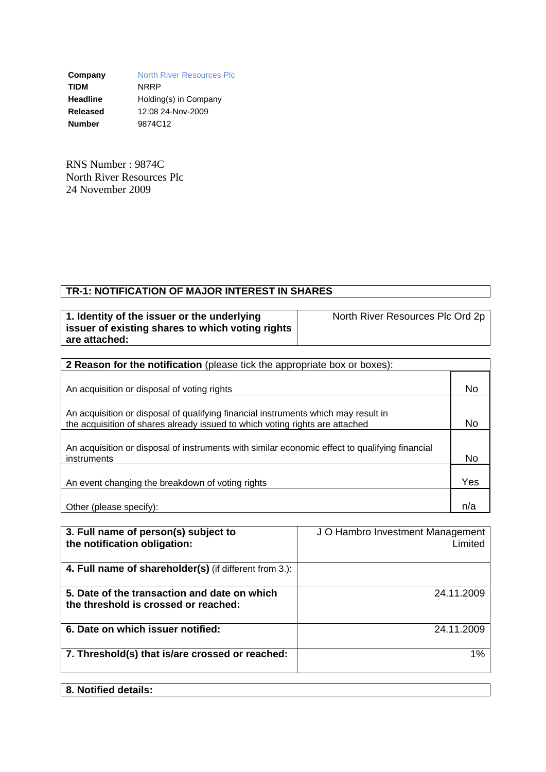**Company** North River Resources Plc **TIDM** NRRP **Headline** Holding(s) in Company **Released** 12:08 24-Nov-2009 **Number** 9874C12

RNS Number : 9874C North River Resources Plc 24 November 2009

## **TR-1: NOTIFICATION OF MAJOR INTEREST IN SHARES**

| 1. Identity of the issuer or the underlying      |
|--------------------------------------------------|
| issuer of existing shares to which voting rights |
| are attached:                                    |

North River Resources Plc Ord 2p

| 2 Reason for the notification (please tick the appropriate box or boxes):                      |     |  |  |
|------------------------------------------------------------------------------------------------|-----|--|--|
|                                                                                                |     |  |  |
| An acquisition or disposal of voting rights                                                    | No  |  |  |
|                                                                                                |     |  |  |
| An acquisition or disposal of qualifying financial instruments which may result in             |     |  |  |
| the acquisition of shares already issued to which voting rights are attached                   | No. |  |  |
| An acquisition or disposal of instruments with similar economic effect to qualifying financial |     |  |  |
| instruments                                                                                    | No  |  |  |
|                                                                                                |     |  |  |
| An event changing the breakdown of voting rights                                               | Yes |  |  |
|                                                                                                |     |  |  |
| Other (please specify):                                                                        | n/a |  |  |

| 3. Full name of person(s) subject to<br>the notification obligation:                 | J O Hambro Investment Management<br>Limited |
|--------------------------------------------------------------------------------------|---------------------------------------------|
| 4. Full name of shareholder(s) (if different from 3.):                               |                                             |
| 5. Date of the transaction and date on which<br>the threshold is crossed or reached: | 24.11.2009                                  |
| 6. Date on which issuer notified:                                                    | 24.11.2009                                  |
| 7. Threshold(s) that is/are crossed or reached:                                      | 1%                                          |
|                                                                                      |                                             |

## **8. Notified details:**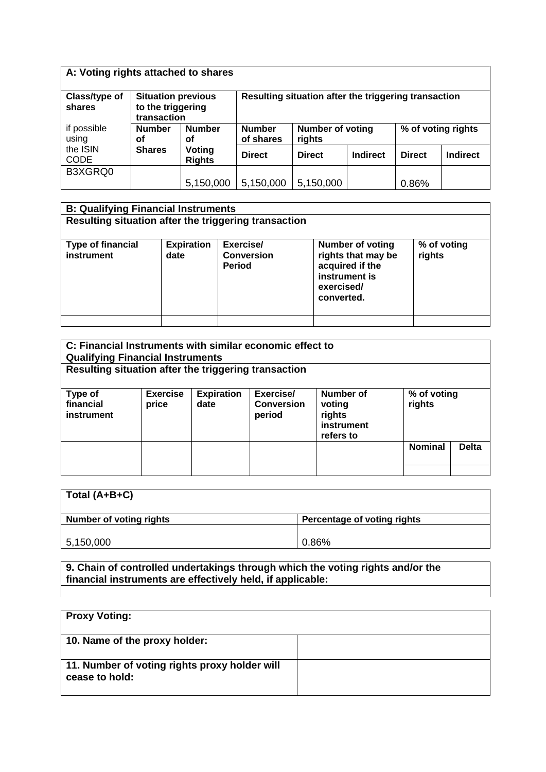| A: Voting rights attached to shares |                                                               |                         |                                                                                       |                                                      |          |               |                 |
|-------------------------------------|---------------------------------------------------------------|-------------------------|---------------------------------------------------------------------------------------|------------------------------------------------------|----------|---------------|-----------------|
| Class/type of<br>shares             | <b>Situation previous</b><br>to the triggering<br>transaction |                         |                                                                                       | Resulting situation after the triggering transaction |          |               |                 |
| if possible<br>using                | <b>Number</b><br>οf                                           | <b>Number</b><br>οf     | <b>Number of voting</b><br>% of voting rights<br><b>Number</b><br>of shares<br>rights |                                                      |          |               |                 |
| the ISIN<br><b>CODE</b>             | <b>Shares</b>                                                 | Voting<br><b>Rights</b> | <b>Direct</b>                                                                         | <b>Direct</b>                                        | Indirect | <b>Direct</b> | <b>Indirect</b> |
| B3XGRQ0                             |                                                               |                         |                                                                                       |                                                      |          |               |                 |
|                                     |                                                               | 5,150,000               | 5,150,000                                                                             | 5,150,000                                            |          | 0.86%         |                 |

| <b>B: Qualifying Financial Instruments</b>           |                           |                                                 |                                                                                                               |                       |
|------------------------------------------------------|---------------------------|-------------------------------------------------|---------------------------------------------------------------------------------------------------------------|-----------------------|
| Resulting situation after the triggering transaction |                           |                                                 |                                                                                                               |                       |
| <b>Type of financial</b><br>instrument               | <b>Expiration</b><br>date | Exercise/<br><b>Conversion</b><br><b>Period</b> | <b>Number of voting</b><br>rights that may be<br>acquired if the<br>instrument is<br>exercised/<br>converted. | % of voting<br>rights |
|                                                      |                           |                                                 |                                                                                                               |                       |

| C: Financial Instruments with similar economic effect to<br><b>Qualifying Financial Instruments</b> |                          |                           |                                          |                                                          |                       |              |
|-----------------------------------------------------------------------------------------------------|--------------------------|---------------------------|------------------------------------------|----------------------------------------------------------|-----------------------|--------------|
| Resulting situation after the triggering transaction                                                |                          |                           |                                          |                                                          |                       |              |
| Type of<br>financial<br>instrument                                                                  | <b>Exercise</b><br>price | <b>Expiration</b><br>date | Exercise/<br><b>Conversion</b><br>period | Number of<br>voting<br>rights<br>instrument<br>refers to | % of voting<br>rights |              |
|                                                                                                     |                          |                           |                                          |                                                          | <b>Nominal</b>        | <b>Delta</b> |

| Total (A+B+C)                  |                             |
|--------------------------------|-----------------------------|
| <b>Number of voting rights</b> | Percentage of voting rights |
| 5, 150, 000                    | 0.86%                       |

**9. Chain of controlled undertakings through which the voting rights and/or the financial instruments are effectively held, if applicable:**

| <b>Proxy Voting:</b>                                            |  |
|-----------------------------------------------------------------|--|
| 10. Name of the proxy holder:                                   |  |
| 11. Number of voting rights proxy holder will<br>cease to hold: |  |